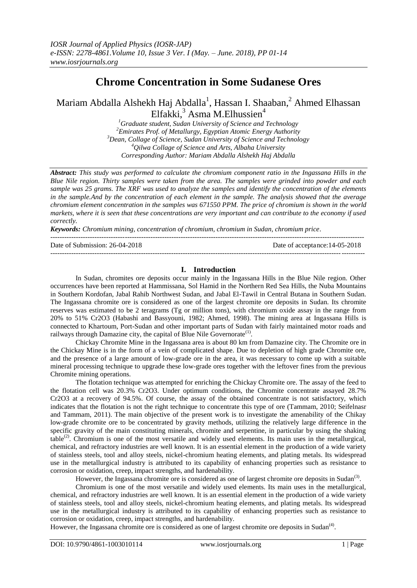# **Chrome Concentration in Some Sudanese Ores**

Mariam Abdalla Alshekh Haj Abdalla<sup>1</sup>, Hassan I. Shaaban,<sup>2</sup> Ahmed Elhassan Elfakki, $3$  Asma M.Elhussien<sup>4</sup>

*Graduate student, Sudan University of Science and Technology Emirates Prof. of Metallurgy, Egyptian Atomic Energy Authority Dean, Collage of Science, Sudan University of Science and Technology Qilwa Collage of Science and Arts, Albaha University Corresponding Author: Mariam Abdalla Alshekh Haj Abdalla*

*Abstract: This study was performed to calculate the chromium component ratio in the Ingassana Hills in the Blue Nile region. Thirty samples were taken from the area. The samples were grinded into powder and each sample was 25 grams. The XRF was used to analyze the samples and identify the concentration of the elements in the sample.And by the concentration of each element in the sample. The analysis showed that the average chromium element concentration in the samples was 671550 PPM. The price of chromium is shown in the world markets, where it is seen that these concentrations are very important and can contribute to the economy if used correctly.*

*Keywords: Chromium mining, concentration of chromium, chromium in Sudan, chromium price.*

Date of Submission: 26-04-2018 Date of acceptance:14-05-2018

## **I. Introduction**

---------------------------------------------------------------------------------------------------------------------------------------

In Sudan, chromites ore deposits occur mainly in the Ingassana Hills in the Blue Nile region. Other occurrences have been reported at Hammissana, Sol Hamid in the Northern Red Sea Hills, the Nuba Mountains in Southern Kordofan, Jabal Rahib Northwest Sudan, and Jabal El-Tawil in Central Butana in Southern Sudan. The Ingassana chromite ore is considered as one of the largest chromite ore deposits in Sudan. Its chromite reserves was estimated to be 2 teragrams (Tg or million tons), with chromium oxide assay in the range from 20% to 51% Cr2O3 (Habashi and Bassyouni, 1982; Ahmed, 1998). The mining area at Ingassana Hills is connected to Khartoum, Port-Sudan and other important parts of Sudan with fairly maintained motor roads and railways through Damazine city, the capital of Blue Nile Governorate<sup>(1)</sup>.

Chickay Chromite Mine in the Ingassana area is about 80 km from Damazine city. The Chromite ore in the Chickay Mine is in the form of a vein of complicated shape. Due to depletion of high grade Chromite ore, and the presence of a large amount of low-grade ore in the area, it was necessary to come up with a suitable mineral processing technique to upgrade these low-grade ores together with the leftover fines from the previous Chromite mining operations.

The flotation technique was attempted for enriching the Chickay Chromite ore. The assay of the feed to the flotation cell was 20.3% Cr2O3. Under optimum conditions, the Chromite concentrate assayed 28.7% Cr2O3 at a recovery of 94.5%. Of course, the assay of the obtained concentrate is not satisfactory, which indicates that the flotation is not the right technique to concentrate this type of ore (Tammam, 2010; Seifelnasr and Tammam, 2011). The main objective of the present work is to investigate the amenability of the Chikay low-grade chromite ore to be concentrated by gravity methods, utilizing the relatively large difference in the specific gravity of the main constituting minerals, chromite and serpentine, in particular by using the shaking  $table<sup>(2)</sup>$ . Chromium is one of the most versatile and widely used elements. Its main uses in the metallurgical, chemical, and refractory industries are well known. It is an essential element in the production of a wide variety of stainless steels, tool and alloy steels, nickel-chromium heating elements, and plating metals. Its widespread use in the metallurgical industry is attributed to its capability of enhancing properties such as resistance to corrosion or oxidation, creep, impact strengths, and hardenability.

However, the Ingassana chromite ore is considered as one of largest chromite ore deposits in Sudan<sup>(3)</sup>.

Chromium is one of the most versatile and widely used elements. Its main uses in the metallurgical, chemical, and refractory industries are well known. It is an essential element in the production of a wide variety of stainless steels, tool and alloy steels, nickel-chromium heating elements, and plating metals. Its widespread use in the metallurgical industry is attributed to its capability of enhancing properties such as resistance to corrosion or oxidation, creep, impact strengths, and hardenability.

However, the Ingassana chromite ore is considered as one of largest chromite ore deposits in Sudan<sup>(4)</sup>.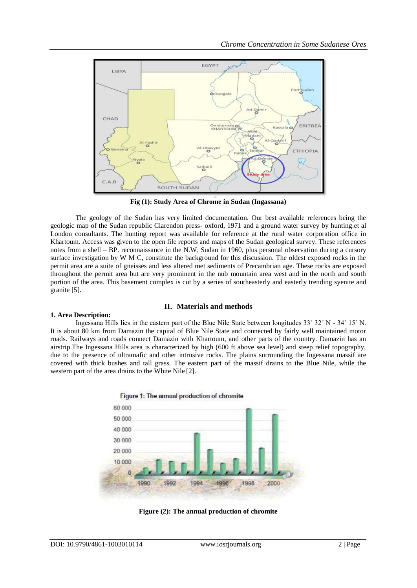

**Fig (1): Study Area of Chrome in Sudan (Ingassana)**

The geology of the Sudan has very limited documentation. Our best available references being the geologic map of the Sudan republic Clarendon press- oxford, 1971 and a ground water survey by hunting.et al London consultants. The hunting report was available for reference at the rural water corporation office in Khartoum. Access was given to the open file reports and maps of the Sudan geological survey. These references notes from a shell – BP. reconnaissance in the N.W. Sudan in 1960, plus personal observation during a cursory surface investigation by W M C, constitute the background for this discussion. The oldest exposed rocks in the permit area are a suite of gneisses and less altered met sediments of Precambrian age. These rocks are exposed throughout the permit area but are very prominent in the nub mountain area west and in the north and south portion of the area. This basement complex is cut by a series of southeasterly and easterly trending syenite and granite [5].

## **II. Materials and methods**

## **1. Area Description:**

Ingessana Hills lies in the eastern part of the Blue Nile State between longitudes 33˚ 32΄ N - 34˚ 15΄ N. It is about 80 km from Damazin the capital of Blue Nile State and connected by fairly well maintained motor roads. Railways and roads connect Damazin with Khartoum, and other parts of the country. Damazin has an airstrip.The Ingessana Hills area is characterized by high (600 ft above sea level) and steep relief topography, due to the presence of ultramafic and other intrusive rocks. The plains surrounding the Ingessana massif are covered with thick bushes and tall grass. The eastern part of the massif drains to the Blue Nile, while the western part of the area drains to the White Nile [2].



**Figure (2): The annual production of chromite**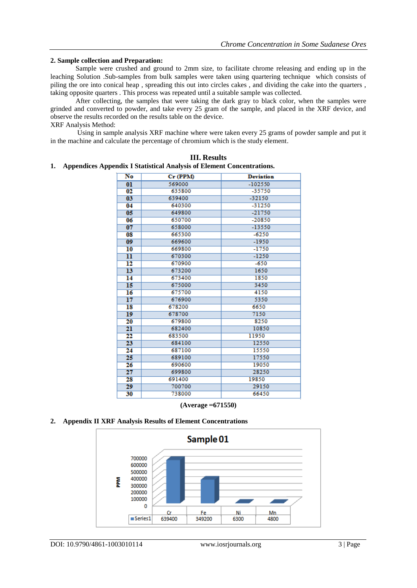## **2. Sample collection and Preparation:**

Sample were crushed and ground to 2mm size, to facilitate chrome releasing and ending up in the leaching Solution .Sub-samples from bulk samples were taken using quartering technique which consists of piling the ore into conical heap , spreading this out into circles cakes , and dividing the cake into the quarters , taking opposite quarters . This process was repeated until a suitable sample was collected.

After collecting, the samples that were taking the dark gray to black color, when the samples were grinded and converted to powder, and take every 25 gram of the sample, and placed in the XRF device, and observe the results recorded on the results table on the device. XRF Analysis Method:

Using in sample analysis XRF machine where were taken every 25 grams of powder sample and put it in the machine and calculate the percentage of chromium which is the study element.

| No                      | Cr (PPM) | <b>Deviation</b> |
|-------------------------|----------|------------------|
| 0 <sub>1</sub>          | 569000   | $-102550$        |
| 02                      | 635800   | $-35750$         |
| 0 <sup>3</sup>          | 639400   | $-32150$         |
| 04                      | 640300   | $-31250$         |
| 05                      | 649800   | $-21750$         |
| 06                      | 650700   | $-20850$         |
| 07                      | 658000   | $-13550$         |
| 08                      | 665300   | $-6250$          |
| 09                      | 669600   | $-1950$          |
| 10                      | 669800   | $-1750$          |
| $\overline{\mathbf{u}}$ | 670300   | $-1250$          |
| 12                      | 670900   | $-650$           |
| 13                      | 673200   | 1650             |
| 14                      | 673400   | 1850             |
| 15                      | 675000   | 3450             |
| 16                      | 675700   | 4150             |
| 17                      | 676900   | 5350             |
| 18                      | 678200   | 6650             |
| 19                      | 678700   | 7150             |
| 20                      | 679800   | 8250             |
| $\overline{21}$         | 682400   | 10850            |
| 22                      | 683500   | 11950            |
| 23                      | 684100   | 12550            |
| 24                      | 687100   | 15550            |
| 25                      | 689100   | 17550            |
| 26                      | 690600   | 19050            |
| $\overline{27}$         | 699800   | 28250            |
| 28                      | 691400   | 19850            |
| 29                      | 700700   | 29150            |
| 30                      | 738000   | 66450            |

#### **III. Results 1. Appendices Appendix I Statistical Analysis of Element Concentrations.**

**(Average =671550)**

### **2. Appendix II XRF Analysis Results of Element Concentrations**

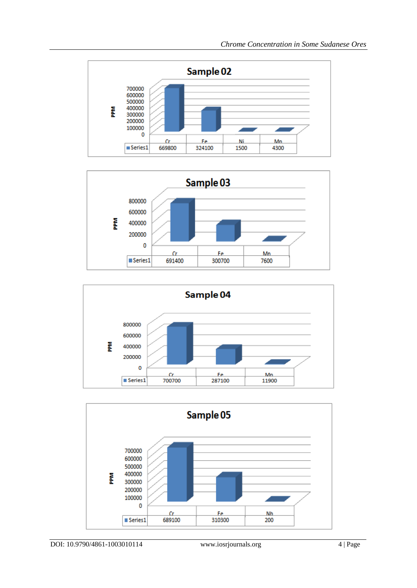





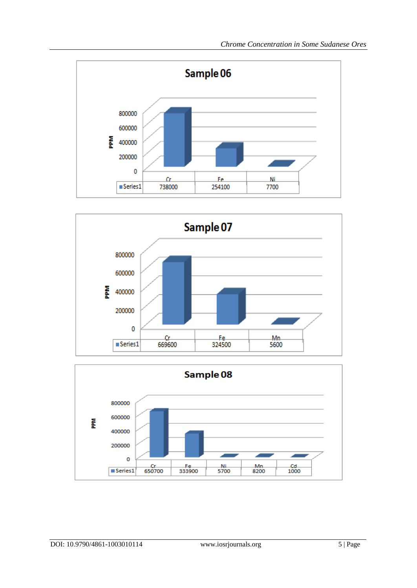



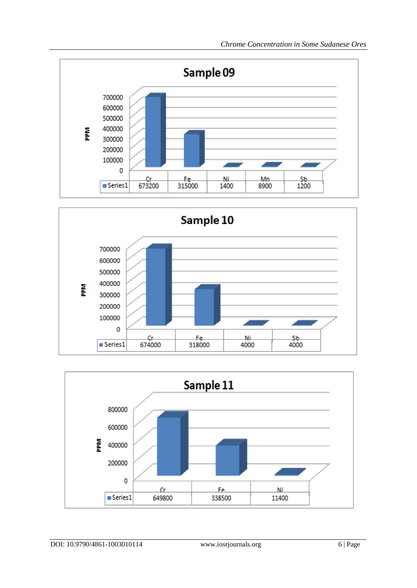



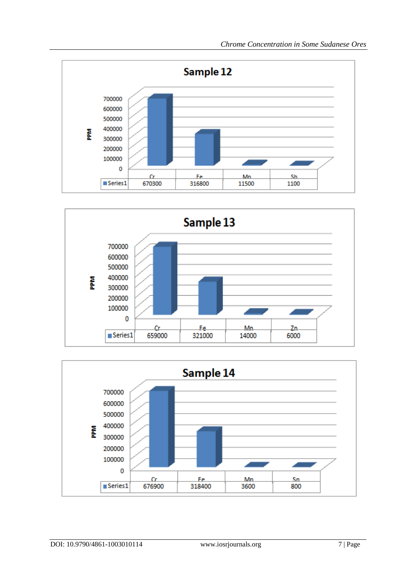



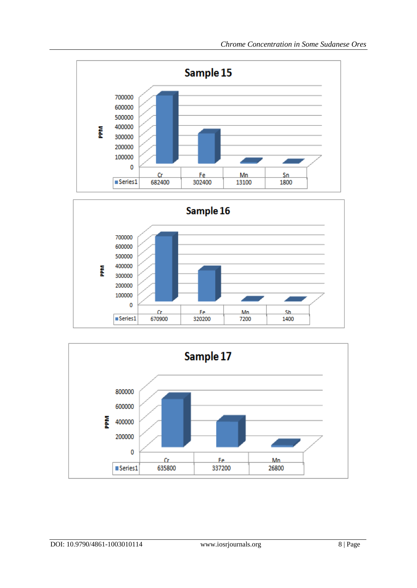



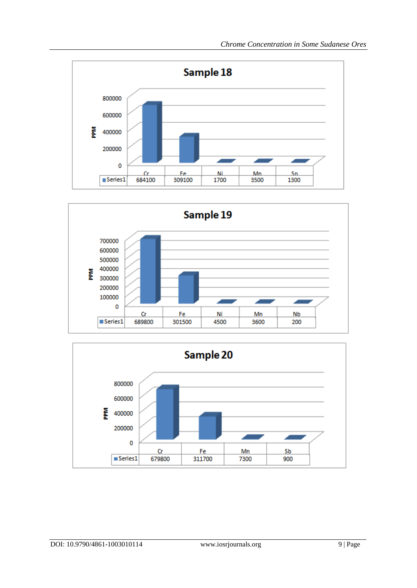



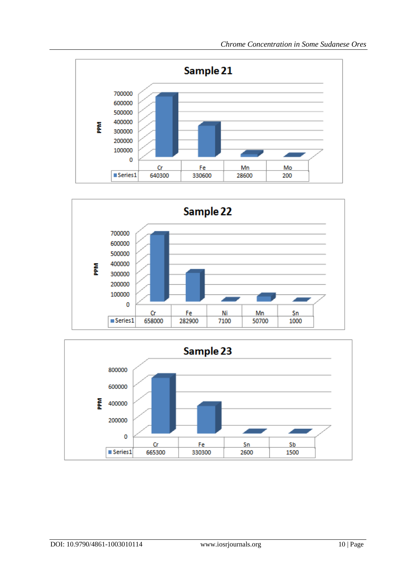



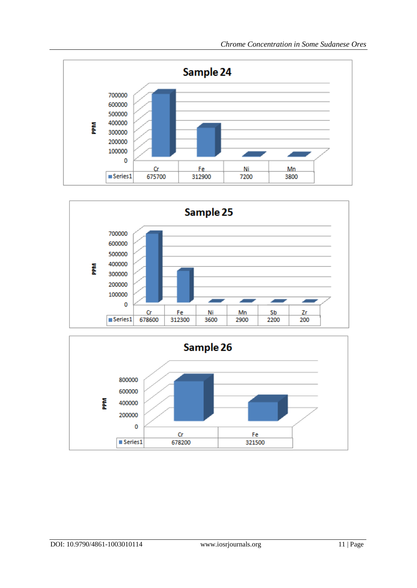



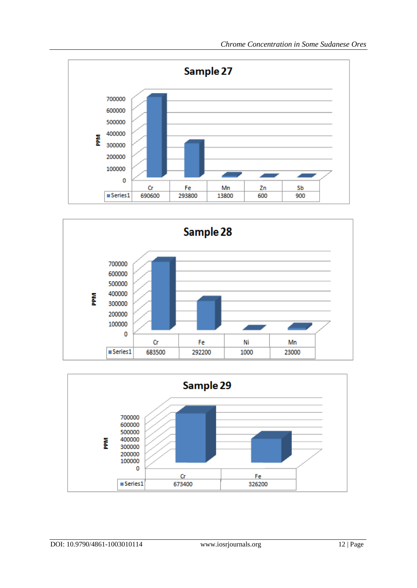



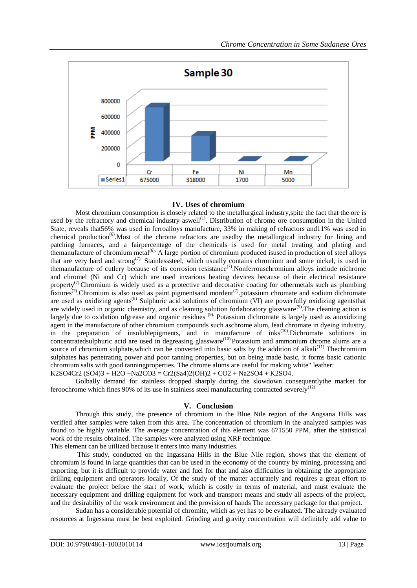

### **IV. Uses of chromium**

Most chromium consumption is closely related to the metallurgical industry,spite the fact that the ore is used by the refractory and chemical industry aswell<sup>(1)</sup>. Distribution of chrome ore consumption in the United State, reveals that56% was used in ferroalloys manufacture, 33% in making of refractors and11% was used in chemical production<sup>(6)</sup>. Most of the chrome refractors are usedby the metallurgical industry for lining and patching furnaces, and a fairpercentage of the chemicals is used for metal treating and plating and themanufacture of chromium metal<sup>(6).</sup> A large portion of chromium produced isused in production of steel alloys that are very hard and strong<sup>(7).</sup> Stainlesssteel, which usually contains chromium and some nickel, is used in themanufacture of cutlery because of its corrosion resistance<sup>(7)</sup>. Nonferrouschromium alloys include nichrome and chromel (Ni and Cr) which are used invarious heating devices because of their electrical resistance property<sup>(7)</sup>. Chromium is widely used as a protective and decorative coating for othermetals such as plumbing fixtures<sup>(7)</sup>. Chromium is also used as paint pigmentsand mordent<sup>(7)</sup> potassium chromate and sodium dichromate are used as oxidizing agents<sup>(8)</sup> Sulphuric acid solutions of chromium (VI) are powerfully oxidizing agentsthat are widely used in organic chemistry, and as cleaning solution forlaboratory glassware<sup>(9)</sup>. The cleaning action is largely due to oxidation ofgrease and organic residues <sup>(9).</sup> Potassium dichromate is largely used as anoxidizing agent in the manufacture of other chromium compounds such aschrome alum, lead chromate in dyeing industry, in the preparation of insolublepigments, and in manufacture of inks<sup>(10)</sup>. Dichromate solutions in concentratedsulphuric acid are used in degreasing glassware<sup>(10)</sup> Potassium and ammonium chrome alums are a source of chromium sulphate, which can be converted into basic salts by the addition of alkali<sup>(11)</sup> Thechromium sulphates has penetrating power and poor tanning properties, but on being made basic, it forms basic cationic chromium salts with good tanningproperties. The chrome alums are useful for making white" leather: K2SO4Cr2 (SO4)3 + H2O +Na2CO3 = Cr2(Sa4)2(OH)2 + CO2 + Na2SO4 + K2SO4.

Golbally demand for stainless dropped sharply during the slowdown consequentlythe market for feroochrome which fines 90% of its use in stainless steel manufacturing contracted severely<sup>(12).</sup>

#### **V. Conclusion**

Through this study, the presence of chromium in the Blue Nile region of the Angsana Hills was verified after samples were taken from this area. The concentration of chromium in the analyzed samples was found to be highly variable. The average concentration of this element was 671550 PPM, after the statistical work of the results obtained. The samples were analyzed using XRF technique. This element can be utilized because it enters into many industries.

This study, conducted on the Ingassana Hills in the Blue Nile region, shows that the element of chromium is found in large quantities that can be used in the economy of the country by mining, processing and exporting, but it is difficult to provide water and fuel for that and also difficulties in obtaining the appropriate drilling equipment and operators locally, Of the study of the matter accurately and requires a great effort to evaluate the project before the start of work, which is costly in terms of material, and must evaluate the necessary equipment and drilling equipment for work and transport means and study all aspects of the project, and the desirability of the work environment and the provision of hands The necessary package for that project.

Sudan has a considerable potential of chromite, which as yet has to be evaluated. The already evaluated resources at Ingessana must be best exploited. Grinding and gravity concentration will definitely add value to